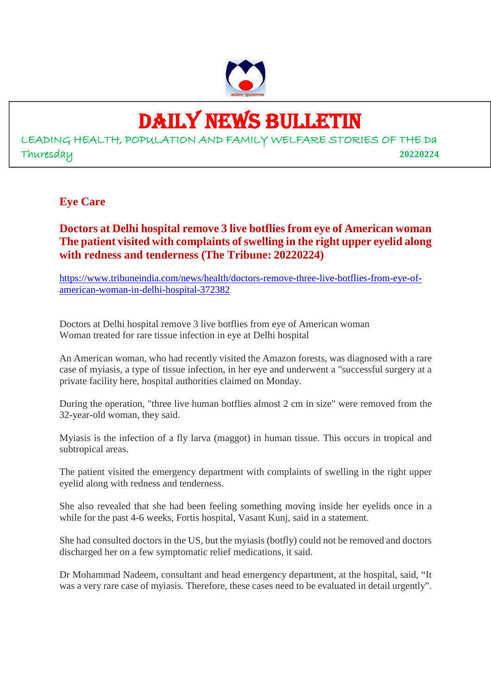

# DAILY NEWS BULLETIN

LEADING HEALTH, POPULATION AND FAMILY WELFARE STORIES OF THE Da Thuresday **20220224**

## **Eye Care**

**Doctors at Delhi hospital remove 3 live botflies from eye of American woman The patient visited with complaints of swelling in the right upper eyelid along with redness and tenderness (The Tribune: 20220224)**

https://www.tribuneindia.com/news/health/doctors-remove-three-live-botflies-from-eye-ofamerican-woman-in-delhi-hospital-372382

Doctors at Delhi hospital remove 3 live botflies from eye of American woman Woman treated for rare tissue infection in eye at Delhi hospital

An American woman, who had recently visited the Amazon forests, was diagnosed with a rare case of myiasis, a type of tissue infection, in her eye and underwent a "successful surgery at a private facility here, hospital authorities claimed on Monday.

During the operation, "three live human botflies almost 2 cm in size" were removed from the 32-year-old woman, they said.

Myiasis is the infection of a fly larva (maggot) in human tissue. This occurs in tropical and subtropical areas.

The patient visited the emergency department with complaints of swelling in the right upper eyelid along with redness and tenderness.

She also revealed that she had been feeling something moving inside her eyelids once in a while for the past 4-6 weeks, Fortis hospital, Vasant Kunj, said in a statement.

She had consulted doctors in the US, but the myiasis (botfly) could not be removed and doctors discharged her on a few symptomatic relief medications, it said.

Dr Mohammad Nadeem, consultant and head emergency department, at the hospital, said, "It was a very rare case of myiasis. Therefore, these cases need to be evaluated in detail urgently".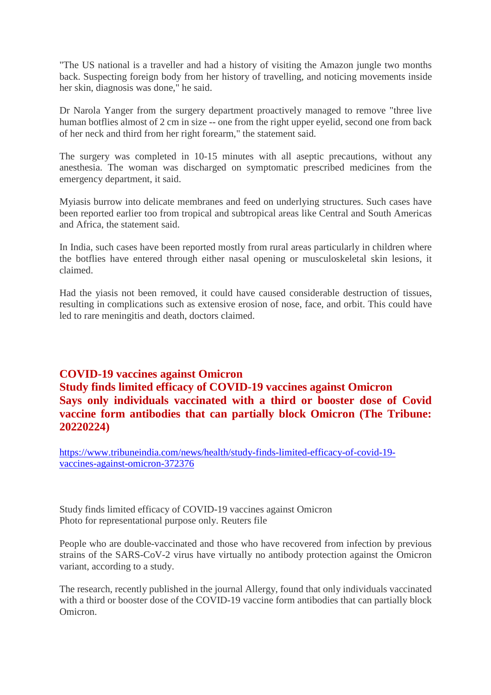"The US national is a traveller and had a history of visiting the Amazon jungle two months back. Suspecting foreign body from her history of travelling, and noticing movements inside her skin, diagnosis was done," he said.

Dr Narola Yanger from the surgery department proactively managed to remove "three live human botflies almost of 2 cm in size -- one from the right upper eyelid, second one from back of her neck and third from her right forearm," the statement said.

The surgery was completed in 10-15 minutes with all aseptic precautions, without any anesthesia. The woman was discharged on symptomatic prescribed medicines from the emergency department, it said.

Myiasis burrow into delicate membranes and feed on underlying structures. Such cases have been reported earlier too from tropical and subtropical areas like Central and South Americas and Africa, the statement said.

In India, such cases have been reported mostly from rural areas particularly in children where the botflies have entered through either nasal opening or musculoskeletal skin lesions, it claimed.

Had the yiasis not been removed, it could have caused considerable destruction of tissues, resulting in complications such as extensive erosion of nose, face, and orbit. This could have led to rare meningitis and death, doctors claimed.

## **COVID-19 vaccines against Omicron Study finds limited efficacy of COVID-19 vaccines against Omicron Says only individuals vaccinated with a third or booster dose of Covid vaccine form antibodies that can partially block Omicron (The Tribune: 20220224)**

https://www.tribuneindia.com/news/health/study-finds-limited-efficacy-of-covid-19 vaccines-against-omicron-372376

Study finds limited efficacy of COVID-19 vaccines against Omicron Photo for representational purpose only. Reuters file

People who are double-vaccinated and those who have recovered from infection by previous strains of the SARS-CoV-2 virus have virtually no antibody protection against the Omicron variant, according to a study.

The research, recently published in the journal Allergy, found that only individuals vaccinated with a third or booster dose of the COVID-19 vaccine form antibodies that can partially block Omicron.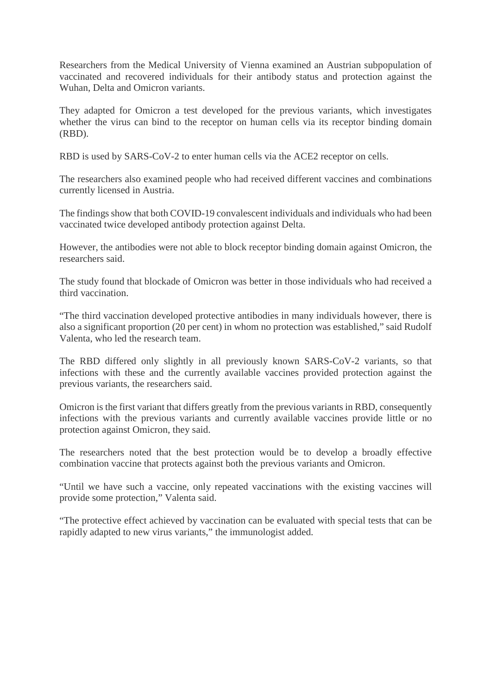Researchers from the Medical University of Vienna examined an Austrian subpopulation of vaccinated and recovered individuals for their antibody status and protection against the Wuhan, Delta and Omicron variants.

They adapted for Omicron a test developed for the previous variants, which investigates whether the virus can bind to the receptor on human cells via its receptor binding domain (RBD).

RBD is used by SARS-CoV-2 to enter human cells via the ACE2 receptor on cells.

The researchers also examined people who had received different vaccines and combinations currently licensed in Austria.

The findings show that both COVID-19 convalescent individuals and individuals who had been vaccinated twice developed antibody protection against Delta.

However, the antibodies were not able to block receptor binding domain against Omicron, the researchers said.

The study found that blockade of Omicron was better in those individuals who had received a third vaccination.

"The third vaccination developed protective antibodies in many individuals however, there is also a significant proportion (20 per cent) in whom no protection was established," said Rudolf Valenta, who led the research team.

The RBD differed only slightly in all previously known SARS-CoV-2 variants, so that infections with these and the currently available vaccines provided protection against the previous variants, the researchers said.

Omicron is the first variant that differs greatly from the previous variants in RBD, consequently infections with the previous variants and currently available vaccines provide little or no protection against Omicron, they said.

The researchers noted that the best protection would be to develop a broadly effective combination vaccine that protects against both the previous variants and Omicron.

"Until we have such a vaccine, only repeated vaccinations with the existing vaccines will provide some protection," Valenta said.

"The protective effect achieved by vaccination can be evaluated with special tests that can be rapidly adapted to new virus variants," the immunologist added.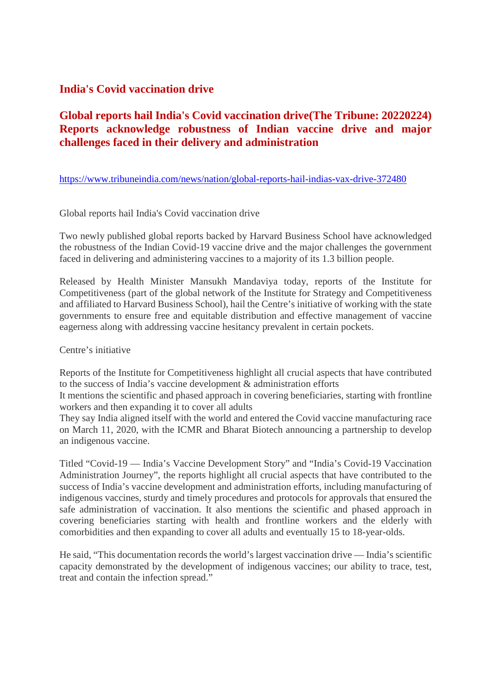#### **India's Covid vaccination drive**

## **Global reports hail India's Covid vaccination drive(The Tribune: 20220224) Reports acknowledge robustness of Indian vaccine drive and major challenges faced in their delivery and administration**

#### https://www.tribuneindia.com/news/nation/global-reports-hail-indias-vax-drive-372480

#### Global reports hail India's Covid vaccination drive

Two newly published global reports backed by Harvard Business School have acknowledged the robustness of the Indian Covid-19 vaccine drive and the major challenges the government faced in delivering and administering vaccines to a majority of its 1.3 billion people.

Released by Health Minister Mansukh Mandaviya today, reports of the Institute for Competitiveness (part of the global network of the Institute for Strategy and Competitiveness and affiliated to Harvard Business School), hail the Centre's initiative of working with the state governments to ensure free and equitable distribution and effective management of vaccine eagerness along with addressing vaccine hesitancy prevalent in certain pockets.

#### Centre's initiative

Reports of the Institute for Competitiveness highlight all crucial aspects that have contributed to the success of India's vaccine development & administration efforts

It mentions the scientific and phased approach in covering beneficiaries, starting with frontline workers and then expanding it to cover all adults

They say India aligned itself with the world and entered the Covid vaccine manufacturing race on March 11, 2020, with the ICMR and Bharat Biotech announcing a partnership to develop an indigenous vaccine.

Titled "Covid-19 — India's Vaccine Development Story" and "India's Covid-19 Vaccination Administration Journey", the reports highlight all crucial aspects that have contributed to the success of India's vaccine development and administration efforts, including manufacturing of indigenous vaccines, sturdy and timely procedures and protocols for approvals that ensured the safe administration of vaccination. It also mentions the scientific and phased approach in covering beneficiaries starting with health and frontline workers and the elderly with comorbidities and then expanding to cover all adults and eventually 15 to 18-year-olds.

He said, "This documentation records the world's largest vaccination drive — India's scientific capacity demonstrated by the development of indigenous vaccines; our ability to trace, test, treat and contain the infection spread."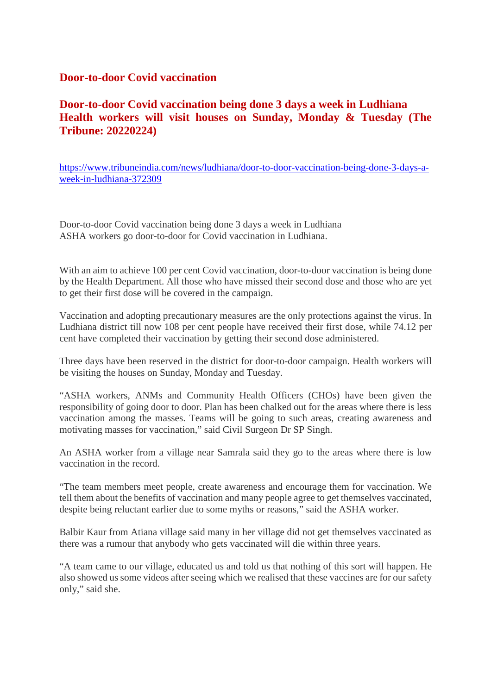#### **Door-to-door Covid vaccination**

## **Door-to-door Covid vaccination being done 3 days a week in Ludhiana Health workers will visit houses on Sunday, Monday & Tuesday (The Tribune: 20220224)**

https://www.tribuneindia.com/news/ludhiana/door-to-door-vaccination-being-done-3-days-aweek-in-ludhiana-372309

Door-to-door Covid vaccination being done 3 days a week in Ludhiana ASHA workers go door-to-door for Covid vaccination in Ludhiana.

With an aim to achieve 100 per cent Covid vaccination, door-to-door vaccination is being done by the Health Department. All those who have missed their second dose and those who are yet to get their first dose will be covered in the campaign.

Vaccination and adopting precautionary measures are the only protections against the virus. In Ludhiana district till now 108 per cent people have received their first dose, while 74.12 per cent have completed their vaccination by getting their second dose administered.

Three days have been reserved in the district for door-to-door campaign. Health workers will be visiting the houses on Sunday, Monday and Tuesday.

"ASHA workers, ANMs and Community Health Officers (CHOs) have been given the responsibility of going door to door. Plan has been chalked out for the areas where there is less vaccination among the masses. Teams will be going to such areas, creating awareness and motivating masses for vaccination," said Civil Surgeon Dr SP Singh.

An ASHA worker from a village near Samrala said they go to the areas where there is low vaccination in the record.

"The team members meet people, create awareness and encourage them for vaccination. We tell them about the benefits of vaccination and many people agree to get themselves vaccinated, despite being reluctant earlier due to some myths or reasons," said the ASHA worker.

Balbir Kaur from Atiana village said many in her village did not get themselves vaccinated as there was a rumour that anybody who gets vaccinated will die within three years.

"A team came to our village, educated us and told us that nothing of this sort will happen. He also showed us some videos after seeing which we realised that these vaccines are for our safety only," said she.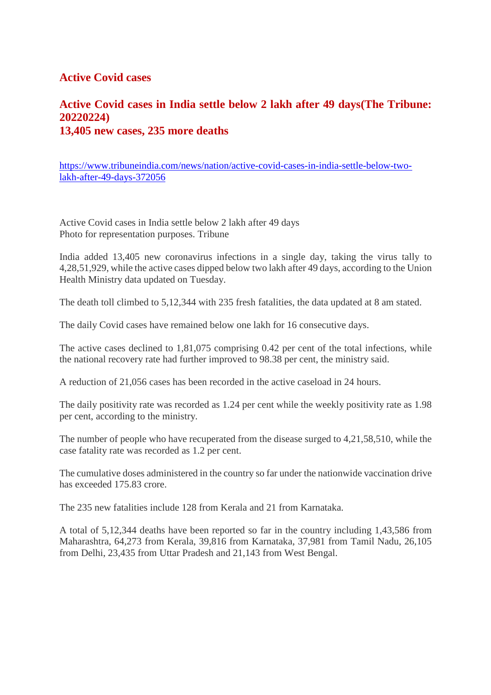#### **Active Covid cases**

## **Active Covid cases in India settle below 2 lakh after 49 days(The Tribune: 20220224) 13,405 new cases, 235 more deaths**

https://www.tribuneindia.com/news/nation/active-covid-cases-in-india-settle-below-twolakh-after-49-days-372056

Active Covid cases in India settle below 2 lakh after 49 days Photo for representation purposes. Tribune

India added 13,405 new coronavirus infections in a single day, taking the virus tally to 4,28,51,929, while the active cases dipped below two lakh after 49 days, according to the Union Health Ministry data updated on Tuesday.

The death toll climbed to 5,12,344 with 235 fresh fatalities, the data updated at 8 am stated.

The daily Covid cases have remained below one lakh for 16 consecutive days.

The active cases declined to 1,81,075 comprising 0.42 per cent of the total infections, while the national recovery rate had further improved to 98.38 per cent, the ministry said.

A reduction of 21,056 cases has been recorded in the active caseload in 24 hours.

The daily positivity rate was recorded as 1.24 per cent while the weekly positivity rate as 1.98 per cent, according to the ministry.

The number of people who have recuperated from the disease surged to 4,21,58,510, while the case fatality rate was recorded as 1.2 per cent.

The cumulative doses administered in the country so far under the nationwide vaccination drive has exceeded 175.83 crore.

The 235 new fatalities include 128 from Kerala and 21 from Karnataka.

A total of 5,12,344 deaths have been reported so far in the country including 1,43,586 from Maharashtra, 64,273 from Kerala, 39,816 from Karnataka, 37,981 from Tamil Nadu, 26,105 from Delhi, 23,435 from Uttar Pradesh and 21,143 from West Bengal.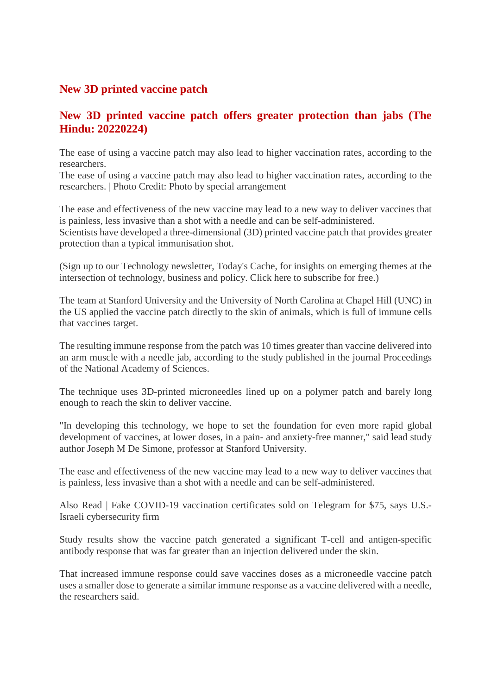## **New 3D printed vaccine patch**

## **New 3D printed vaccine patch offers greater protection than jabs (The Hindu: 20220224)**

The ease of using a vaccine patch may also lead to higher vaccination rates, according to the researchers.

The ease of using a vaccine patch may also lead to higher vaccination rates, according to the researchers. | Photo Credit: Photo by special arrangement

The ease and effectiveness of the new vaccine may lead to a new way to deliver vaccines that is painless, less invasive than a shot with a needle and can be self-administered.

Scientists have developed a three-dimensional (3D) printed vaccine patch that provides greater protection than a typical immunisation shot.

(Sign up to our Technology newsletter, Today's Cache, for insights on emerging themes at the intersection of technology, business and policy. Click here to subscribe for free.)

The team at Stanford University and the University of North Carolina at Chapel Hill (UNC) in the US applied the vaccine patch directly to the skin of animals, which is full of immune cells that vaccines target.

The resulting immune response from the patch was 10 times greater than vaccine delivered into an arm muscle with a needle jab, according to the study published in the journal Proceedings of the National Academy of Sciences.

The technique uses 3D-printed microneedles lined up on a polymer patch and barely long enough to reach the skin to deliver vaccine.

"In developing this technology, we hope to set the foundation for even more rapid global development of vaccines, at lower doses, in a pain- and anxiety-free manner," said lead study author Joseph M De Simone, professor at Stanford University.

The ease and effectiveness of the new vaccine may lead to a new way to deliver vaccines that is painless, less invasive than a shot with a needle and can be self-administered.

Also Read | Fake COVID-19 vaccination certificates sold on Telegram for \$75, says U.S.- Israeli cybersecurity firm

Study results show the vaccine patch generated a significant T-cell and antigen-specific antibody response that was far greater than an injection delivered under the skin.

That increased immune response could save vaccines doses as a microneedle vaccine patch uses a smaller dose to generate a similar immune response as a vaccine delivered with a needle, the researchers said.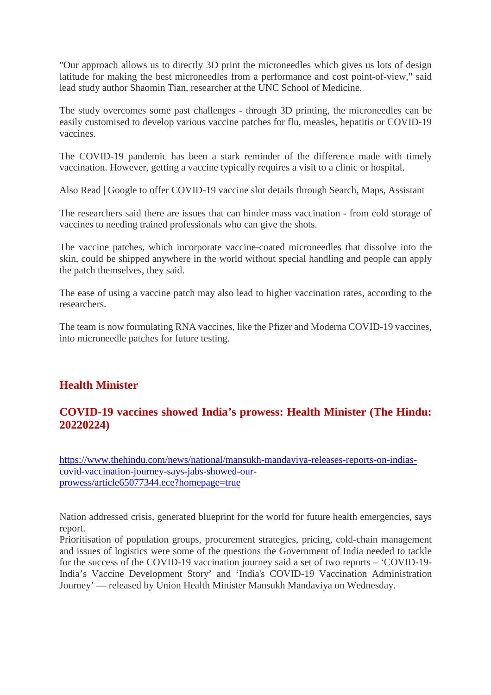"Our approach allows us to directly 3D print the microneedles which gives us lots of design latitude for making the best microneedles from a performance and cost point-of-view," said lead study author Shaomin Tian, researcher at the UNC School of Medicine.

The study overcomes some past challenges - through 3D printing, the microneedles can be easily customised to develop various vaccine patches for flu, measles, hepatitis or COVID-19 vaccines.

The COVID-19 pandemic has been a stark reminder of the difference made with timely vaccination. However, getting a vaccine typically requires a visit to a clinic or hospital.

Also Read | Google to offer COVID-19 vaccine slot details through Search, Maps, Assistant

The researchers said there are issues that can hinder mass vaccination - from cold storage of vaccines to needing trained professionals who can give the shots.

The vaccine patches, which incorporate vaccine-coated microneedles that dissolve into the skin, could be shipped anywhere in the world without special handling and people can apply the patch themselves, they said.

The ease of using a vaccine patch may also lead to higher vaccination rates, according to the researchers.

The team is now formulating RNA vaccines, like the Pfizer and Moderna COVID-19 vaccines, into microneedle patches for future testing.

## **Health Minister**

## **COVID-19 vaccines showed India's prowess: Health Minister (The Hindu: 20220224)**

https://www.thehindu.com/news/national/mansukh-mandaviya-releases-reports-on-indiascovid-vaccination-journey-says-jabs-showed-ourprowess/article65077344.ece?homepage=true

Nation addressed crisis, generated blueprint for the world for future health emergencies, says report.

Prioritisation of population groups, procurement strategies, pricing, cold-chain management and issues of logistics were some of the questions the Government of India needed to tackle for the success of the COVID-19 vaccination journey said a set of two reports – 'COVID-19- India's Vaccine Development Story' and 'India's COVID-19 Vaccination Administration Journey' — released by Union Health Minister Mansukh Mandaviya on Wednesday.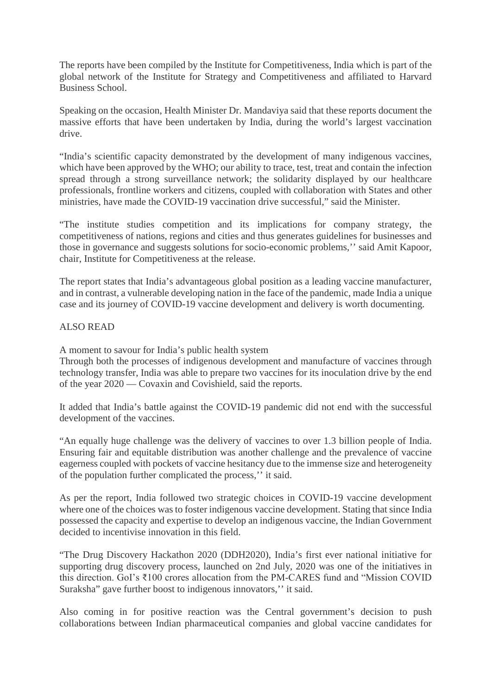The reports have been compiled by the Institute for Competitiveness, India which is part of the global network of the Institute for Strategy and Competitiveness and affiliated to Harvard Business School.

Speaking on the occasion, Health Minister Dr. Mandaviya said that these reports document the massive efforts that have been undertaken by India, during the world's largest vaccination drive.

"India's scientific capacity demonstrated by the development of many indigenous vaccines, which have been approved by the WHO; our ability to trace, test, treat and contain the infection spread through a strong surveillance network; the solidarity displayed by our healthcare professionals, frontline workers and citizens, coupled with collaboration with States and other ministries, have made the COVID-19 vaccination drive successful," said the Minister.

"The institute studies competition and its implications for company strategy, the competitiveness of nations, regions and cities and thus generates guidelines for businesses and those in governance and suggests solutions for socio-economic problems,'' said Amit Kapoor, chair, Institute for Competitiveness at the release.

The report states that India's advantageous global position as a leading vaccine manufacturer, and in contrast, a vulnerable developing nation in the face of the pandemic, made India a unique case and its journey of COVID-19 vaccine development and delivery is worth documenting.

#### ALSO READ

A moment to savour for India's public health system

Through both the processes of indigenous development and manufacture of vaccines through technology transfer, India was able to prepare two vaccines for its inoculation drive by the end of the year 2020 — Covaxin and Covishield, said the reports.

It added that India's battle against the COVID-19 pandemic did not end with the successful development of the vaccines.

"An equally huge challenge was the delivery of vaccines to over 1.3 billion people of India. Ensuring fair and equitable distribution was another challenge and the prevalence of vaccine eagerness coupled with pockets of vaccine hesitancy due to the immense size and heterogeneity of the population further complicated the process,'' it said.

As per the report, India followed two strategic choices in COVID-19 vaccine development where one of the choices was to foster indigenous vaccine development. Stating that since India possessed the capacity and expertise to develop an indigenous vaccine, the Indian Government decided to incentivise innovation in this field.

"The Drug Discovery Hackathon 2020 (DDH2020), India's first ever national initiative for supporting drug discovery process, launched on 2nd July, 2020 was one of the initiatives in this direction. GoI's ₹100 crores allocation from the PM-CARES fund and "Mission COVID Suraksha" gave further boost to indigenous innovators,'' it said.

Also coming in for positive reaction was the Central government's decision to push collaborations between Indian pharmaceutical companies and global vaccine candidates for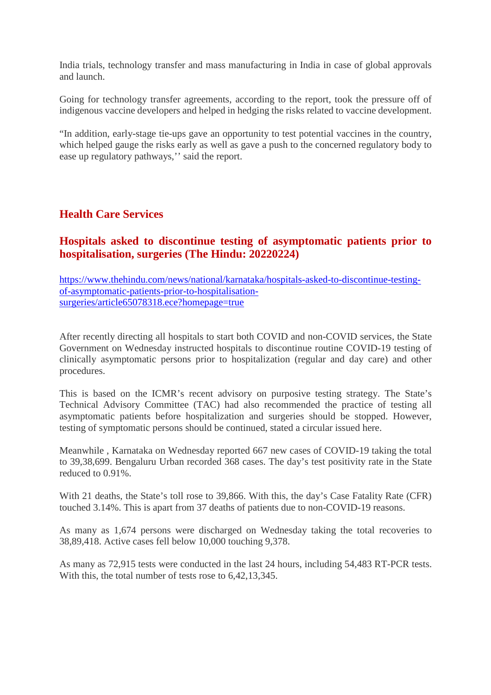India trials, technology transfer and mass manufacturing in India in case of global approvals and launch.

Going for technology transfer agreements, according to the report, took the pressure off of indigenous vaccine developers and helped in hedging the risks related to vaccine development.

"In addition, early-stage tie-ups gave an opportunity to test potential vaccines in the country, which helped gauge the risks early as well as gave a push to the concerned regulatory body to ease up regulatory pathways,'' said the report.

#### **Health Care Services**

## **Hospitals asked to discontinue testing of asymptomatic patients prior to hospitalisation, surgeries (The Hindu: 20220224)**

https://www.thehindu.com/news/national/karnataka/hospitals-asked-to-discontinue-testingof-asymptomatic-patients-prior-to-hospitalisationsurgeries/article65078318.ece?homepage=true

After recently directing all hospitals to start both COVID and non-COVID services, the State Government on Wednesday instructed hospitals to discontinue routine COVID-19 testing of clinically asymptomatic persons prior to hospitalization (regular and day care) and other procedures.

This is based on the ICMR's recent advisory on purposive testing strategy. The State's Technical Advisory Committee (TAC) had also recommended the practice of testing all asymptomatic patients before hospitalization and surgeries should be stopped. However, testing of symptomatic persons should be continued, stated a circular issued here.

Meanwhile , Karnataka on Wednesday reported 667 new cases of COVID-19 taking the total to 39,38,699. Bengaluru Urban recorded 368 cases. The day's test positivity rate in the State reduced to 0.91%.

With 21 deaths, the State's toll rose to 39,866. With this, the day's Case Fatality Rate (CFR) touched 3.14%. This is apart from 37 deaths of patients due to non-COVID-19 reasons.

As many as 1,674 persons were discharged on Wednesday taking the total recoveries to 38,89,418. Active cases fell below 10,000 touching 9,378.

As many as 72,915 tests were conducted in the last 24 hours, including 54,483 RT-PCR tests. With this, the total number of tests rose to  $6.42,13.345$ .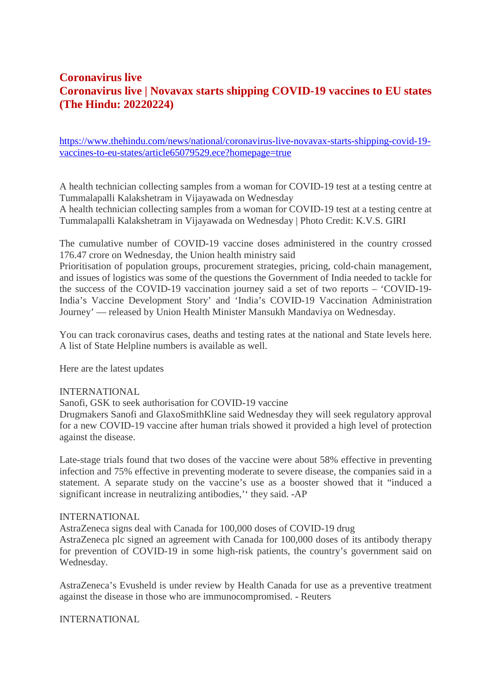## **Coronavirus live Coronavirus live | Novavax starts shipping COVID-19 vaccines to EU states (The Hindu: 20220224)**

https://www.thehindu.com/news/national/coronavirus-live-novavax-starts-shipping-covid-19 vaccines-to-eu-states/article65079529.ece?homepage=true

A health technician collecting samples from a woman for COVID-19 test at a testing centre at Tummalapalli Kalakshetram in Vijayawada on Wednesday

A health technician collecting samples from a woman for COVID-19 test at a testing centre at Tummalapalli Kalakshetram in Vijayawada on Wednesday | Photo Credit: K.V.S. GIRI

The cumulative number of COVID-19 vaccine doses administered in the country crossed 176.47 crore on Wednesday, the Union health ministry said

Prioritisation of population groups, procurement strategies, pricing, cold-chain management, and issues of logistics was some of the questions the Government of India needed to tackle for the success of the COVID-19 vaccination journey said a set of two reports – 'COVID-19- India's Vaccine Development Story' and 'India's COVID-19 Vaccination Administration Journey' — released by Union Health Minister Mansukh Mandaviya on Wednesday.

You can track coronavirus cases, deaths and testing rates at the national and State levels here. A list of State Helpline numbers is available as well.

Here are the latest updates

#### INTERNATIONAL

Sanofi, GSK to seek authorisation for COVID-19 vaccine

Drugmakers Sanofi and GlaxoSmithKline said Wednesday they will seek regulatory approval for a new COVID-19 vaccine after human trials showed it provided a high level of protection against the disease.

Late-stage trials found that two doses of the vaccine were about 58% effective in preventing infection and 75% effective in preventing moderate to severe disease, the companies said in a statement. A separate study on the vaccine's use as a booster showed that it "induced a significant increase in neutralizing antibodies,'' they said. -AP

#### INTERNATIONAL

AstraZeneca signs deal with Canada for 100,000 doses of COVID-19 drug AstraZeneca plc signed an agreement with Canada for 100,000 doses of its antibody therapy for prevention of COVID-19 in some high-risk patients, the country's government said on Wednesday.

AstraZeneca's Evusheld is under review by Health Canada for use as a preventive treatment against the disease in those who are immunocompromised. - Reuters

INTERNATIONAL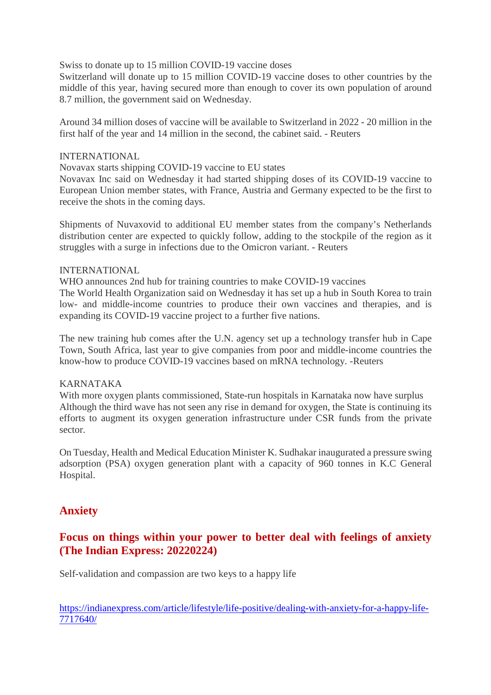Swiss to donate up to 15 million COVID-19 vaccine doses

Switzerland will donate up to 15 million COVID-19 vaccine doses to other countries by the middle of this year, having secured more than enough to cover its own population of around 8.7 million, the government said on Wednesday.

Around 34 million doses of vaccine will be available to Switzerland in 2022 - 20 million in the first half of the year and 14 million in the second, the cabinet said. - Reuters

#### INTERNATIONAL

Novavax starts shipping COVID-19 vaccine to EU states

Novavax Inc said on Wednesday it had started shipping doses of its COVID-19 vaccine to European Union member states, with France, Austria and Germany expected to be the first to receive the shots in the coming days.

Shipments of Nuvaxovid to additional EU member states from the company's Netherlands distribution center are expected to quickly follow, adding to the stockpile of the region as it struggles with a surge in infections due to the Omicron variant. - Reuters

#### INTERNATIONAL

WHO announces 2nd hub for training countries to make COVID-19 vaccines The World Health Organization said on Wednesday it has set up a hub in South Korea to train low- and middle-income countries to produce their own vaccines and therapies, and is expanding its COVID-19 vaccine project to a further five nations.

The new training hub comes after the U.N. agency set up a technology transfer hub in Cape Town, South Africa, last year to give companies from poor and middle-income countries the know-how to produce COVID-19 vaccines based on mRNA technology. -Reuters

#### KARNATAKA

With more oxygen plants commissioned, State-run hospitals in Karnataka now have surplus Although the third wave has not seen any rise in demand for oxygen, the State is continuing its efforts to augment its oxygen generation infrastructure under CSR funds from the private sector.

On Tuesday, Health and Medical Education Minister K. Sudhakar inaugurated a pressure swing adsorption (PSA) oxygen generation plant with a capacity of 960 tonnes in K.C General Hospital.

#### **Anxiety**

#### **Focus on things within your power to better deal with feelings of anxiety (The Indian Express: 20220224)**

Self-validation and compassion are two keys to a happy life

https://indianexpress.com/article/lifestyle/life-positive/dealing-with-anxiety-for-a-happy-life-7717640/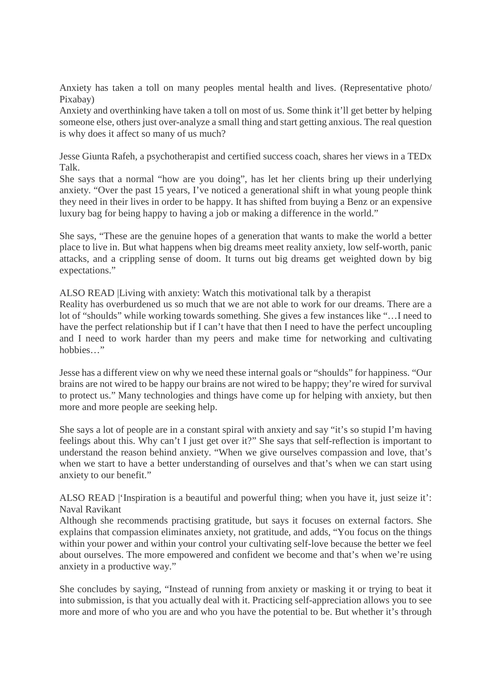Anxiety has taken a toll on many peoples mental health and lives. (Representative photo/ Pixabay)

Anxiety and overthinking have taken a toll on most of us. Some think it'll get better by helping someone else, others just over-analyze a small thing and start getting anxious. The real question is why does it affect so many of us much?

Jesse Giunta Rafeh, a psychotherapist and certified success coach, shares her views in a TEDx Talk.

She says that a normal "how are you doing", has let her clients bring up their underlying anxiety. "Over the past 15 years, I've noticed a generational shift in what young people think they need in their lives in order to be happy. It has shifted from buying a Benz or an expensive luxury bag for being happy to having a job or making a difference in the world."

She says, "These are the genuine hopes of a generation that wants to make the world a better place to live in. But what happens when big dreams meet reality anxiety, low self-worth, panic attacks, and a crippling sense of doom. It turns out big dreams get weighted down by big expectations."

ALSO READ |Living with anxiety: Watch this motivational talk by a therapist

Reality has overburdened us so much that we are not able to work for our dreams. There are a lot of "shoulds" while working towards something. She gives a few instances like "…I need to have the perfect relationship but if I can't have that then I need to have the perfect uncoupling and I need to work harder than my peers and make time for networking and cultivating hobbies…"

Jesse has a different view on why we need these internal goals or "shoulds" for happiness. "Our brains are not wired to be happy our brains are not wired to be happy; they're wired for survival to protect us." Many technologies and things have come up for helping with anxiety, but then more and more people are seeking help.

She says a lot of people are in a constant spiral with anxiety and say "it's so stupid I'm having feelings about this. Why can't I just get over it?" She says that self-reflection is important to understand the reason behind anxiety. "When we give ourselves compassion and love, that's when we start to have a better understanding of ourselves and that's when we can start using anxiety to our benefit."

ALSO READ |'Inspiration is a beautiful and powerful thing; when you have it, just seize it': Naval Ravikant

Although she recommends practising gratitude, but says it focuses on external factors. She explains that compassion eliminates anxiety, not gratitude, and adds, "You focus on the things within your power and within your control your cultivating self-love because the better we feel about ourselves. The more empowered and confident we become and that's when we're using anxiety in a productive way."

She concludes by saying, "Instead of running from anxiety or masking it or trying to beat it into submission, is that you actually deal with it. Practicing self-appreciation allows you to see more and more of who you are and who you have the potential to be. But whether it's through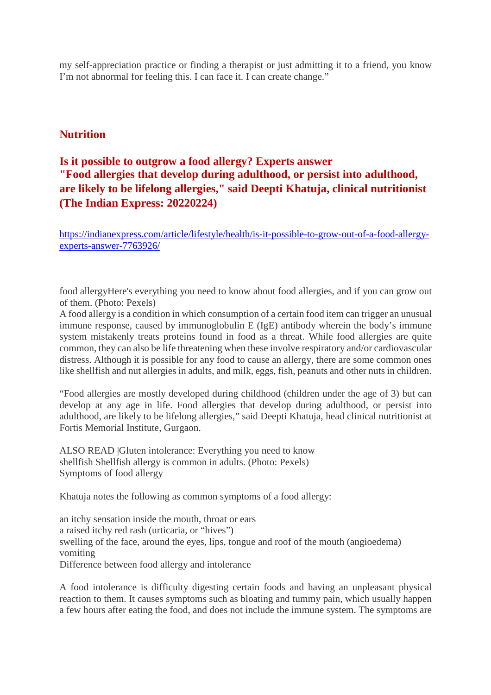my self-appreciation practice or finding a therapist or just admitting it to a friend, you know I'm not abnormal for feeling this. I can face it. I can create change."

#### **Nutrition**

# **Is it possible to outgrow a food allergy? Experts answer "Food allergies that develop during adulthood, or persist into adulthood, are likely to be lifelong allergies," said Deepti Khatuja, clinical nutritionist (The Indian Express: 20220224)**

https://indianexpress.com/article/lifestyle/health/is-it-possible-to-grow-out-of-a-food-allergyexperts-answer-7763926/

food allergyHere's everything you need to know about food allergies, and if you can grow out of them. (Photo: Pexels)

A food allergy is a condition in which consumption of a certain food item can trigger an unusual immune response, caused by immunoglobulin E (IgE) antibody wherein the body's immune system mistakenly treats proteins found in food as a threat. While food allergies are quite common, they can also be life threatening when these involve respiratory and/or cardiovascular distress. Although it is possible for any food to cause an allergy, there are some common ones like shellfish and nut allergies in adults, and milk, eggs, fish, peanuts and other nuts in children.

"Food allergies are mostly developed during childhood (children under the age of 3) but can develop at any age in life. Food allergies that develop during adulthood, or persist into adulthood, are likely to be lifelong allergies," said Deepti Khatuja, head clinical nutritionist at Fortis Memorial Institute, Gurgaon.

ALSO READ |Gluten intolerance: Everything you need to know shellfish Shellfish allergy is common in adults. (Photo: Pexels) Symptoms of food allergy

Khatuja notes the following as common symptoms of a food allergy:

an itchy sensation inside the mouth, throat or ears a raised itchy red rash (urticaria, or "hives") swelling of the face, around the eyes, lips, tongue and roof of the mouth (angioedema) vomiting Difference between food allergy and intolerance

A food intolerance is difficulty digesting certain foods and having an unpleasant physical reaction to them. It causes symptoms such as bloating and tummy pain, which usually happen a few hours after eating the food, and does not include the immune system. The symptoms are